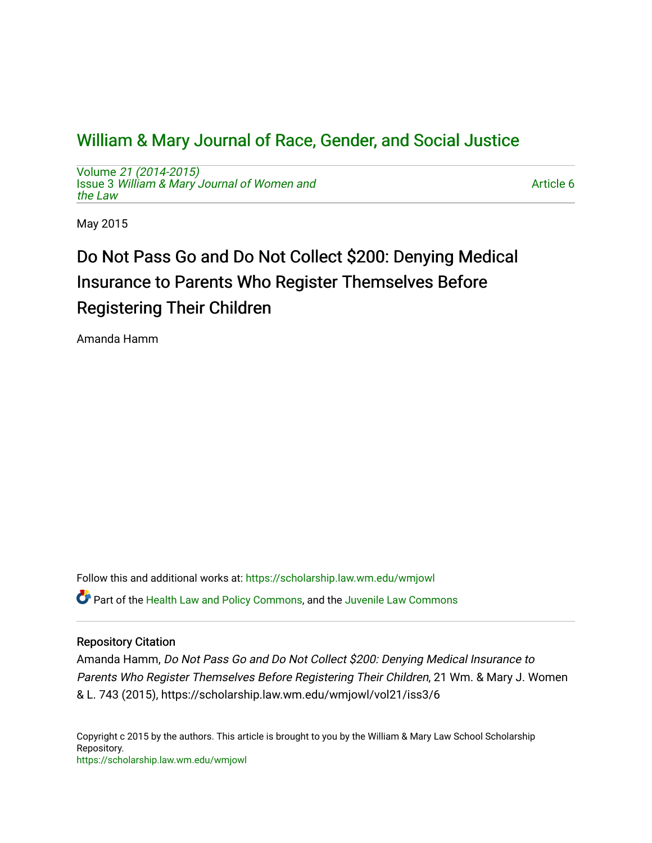## [William & Mary Journal of Race, Gender, and Social Justice](https://scholarship.law.wm.edu/wmjowl)

Volume [21 \(2014-2015\)](https://scholarship.law.wm.edu/wmjowl/vol21)  Issue 3 [William & Mary Journal of Women and](https://scholarship.law.wm.edu/wmjowl/vol21/iss3) [the Law](https://scholarship.law.wm.edu/wmjowl/vol21/iss3)

[Article 6](https://scholarship.law.wm.edu/wmjowl/vol21/iss3/6) 

May 2015

# Do Not Pass Go and Do Not Collect \$200: Denying Medical Insurance to Parents Who Register Themselves Before Registering Their Children

Amanda Hamm

Follow this and additional works at: [https://scholarship.law.wm.edu/wmjowl](https://scholarship.law.wm.edu/wmjowl?utm_source=scholarship.law.wm.edu%2Fwmjowl%2Fvol21%2Fiss3%2F6&utm_medium=PDF&utm_campaign=PDFCoverPages)  Part of the [Health Law and Policy Commons](http://network.bepress.com/hgg/discipline/901?utm_source=scholarship.law.wm.edu%2Fwmjowl%2Fvol21%2Fiss3%2F6&utm_medium=PDF&utm_campaign=PDFCoverPages), and the [Juvenile Law Commons](http://network.bepress.com/hgg/discipline/851?utm_source=scholarship.law.wm.edu%2Fwmjowl%2Fvol21%2Fiss3%2F6&utm_medium=PDF&utm_campaign=PDFCoverPages)

## Repository Citation

Amanda Hamm, Do Not Pass Go and Do Not Collect \$200: Denying Medical Insurance to Parents Who Register Themselves Before Registering Their Children, 21 Wm. & Mary J. Women & L. 743 (2015), https://scholarship.law.wm.edu/wmjowl/vol21/iss3/6

Copyright c 2015 by the authors. This article is brought to you by the William & Mary Law School Scholarship Repository. <https://scholarship.law.wm.edu/wmjowl>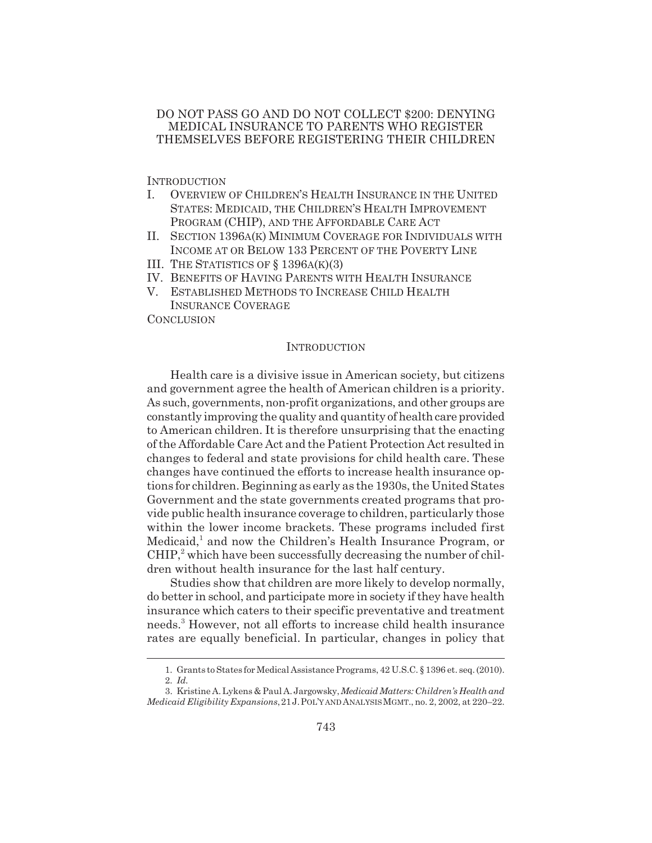## DO NOT PASS GO AND DO NOT COLLECT \$200: DENYING MEDICAL INSURANCE TO PARENTS WHO REGISTER THEMSELVES BEFORE REGISTERING THEIR CHILDREN

**INTRODUCTION** 

- I. OVERVIEW OF CHILDREN'S HEALTH INSURANCE IN THE UNITED STATES: MEDICAID, THE CHILDREN'S HEALTH IMPROVEMENT PROGRAM (CHIP), AND THE AFFORDABLE CARE ACT
- II. SECTION 1396A(K) MINIMUM COVERAGE FOR INDIVIDUALS WITH INCOME AT OR BELOW 133 PERCENT OF THE POVERTY LINE
- III. THE STATISTICS OF § 1396A(K)(3)
- IV. BENEFITS OF HAVING PARENTS WITH HEALTH INSURANCE
- V. ESTABLISHED METHODS TO INCREASE CHILD HEALTH INSURANCE COVERAGE

**CONCLUSION** 

### **INTRODUCTION**

Health care is a divisive issue in American society, but citizens and government agree the health of American children is a priority. As such, governments, non-profit organizations, and other groups are constantly improving the quality and quantity of health care provided to American children. It is therefore unsurprising that the enacting of the Affordable Care Act and the Patient Protection Act resulted in changes to federal and state provisions for child health care. These changes have continued the efforts to increase health insurance options for children. Beginning as early as the 1930s, the United States Government and the state governments created programs that provide public health insurance coverage to children, particularly those within the lower income brackets. These programs included first Medicaid,<sup>1</sup> and now the Children's Health Insurance Program, or  $CHIP<sup>2</sup>$  which have been successfully decreasing the number of children without health insurance for the last half century.

Studies show that children are more likely to develop normally, do better in school, and participate more in society if they have health insurance which caters to their specific preventative and treatment needs.3 However, not all efforts to increase child health insurance rates are equally beneficial. In particular, changes in policy that

<sup>1.</sup> Grants to States for Medical Assistance Programs, 42 U.S.C. § 1396 et. seq. (2010).

<sup>2.</sup> *Id.*

<sup>3.</sup> Kristine A. Lykens & Paul A. Jargowsky, *Medicaid Matters: Children's Health and Medicaid Eligibility Expansions*,21J.POL'Y AND ANALYSIS MGMT., no. 2, 2002, at 220–22.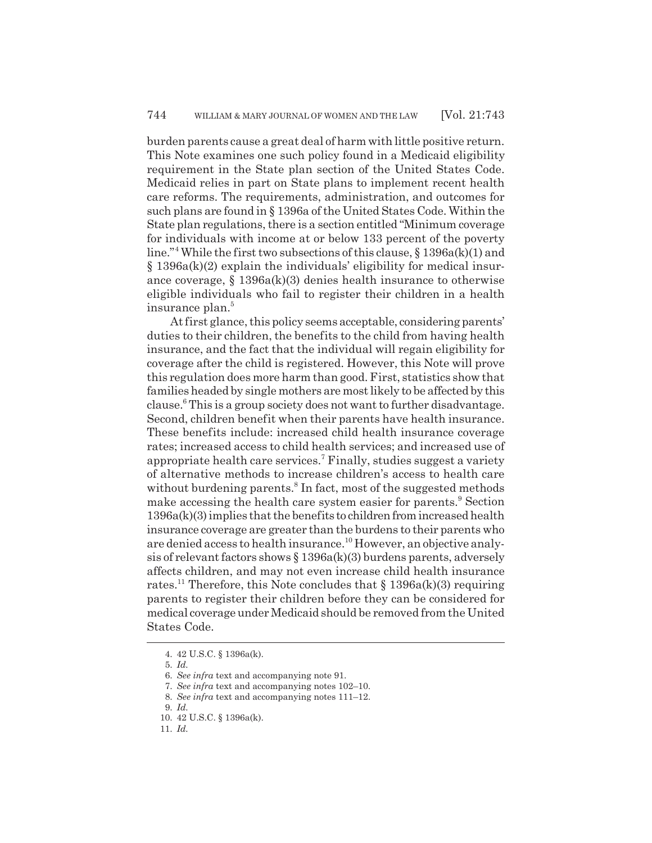burden parents cause a great deal of harm with little positive return. This Note examines one such policy found in a Medicaid eligibility requirement in the State plan section of the United States Code. Medicaid relies in part on State plans to implement recent health care reforms. The requirements, administration, and outcomes for such plans are found in § 1396a of the United States Code. Within the State plan regulations, there is a section entitled "Minimum coverage for individuals with income at or below 133 percent of the poverty line."4 While the first two subsections of this clause, § 1396a(k)(1) and § 1396a(k)(2) explain the individuals' eligibility for medical insurance coverage, § 1396a(k)(3) denies health insurance to otherwise eligible individuals who fail to register their children in a health insurance plan.<sup>5</sup>

At first glance, this policy seems acceptable, considering parents' duties to their children, the benefits to the child from having health insurance, and the fact that the individual will regain eligibility for coverage after the child is registered. However, this Note will prove this regulation does more harm than good. First, statistics show that families headed by single mothers are most likely to be affected by this clause.<sup>6</sup> This is a group society does not want to further disadvantage. Second, children benefit when their parents have health insurance. These benefits include: increased child health insurance coverage rates; increased access to child health services; and increased use of appropriate health care services.<sup>7</sup> Finally, studies suggest a variety of alternative methods to increase children's access to health care without burdening parents.<sup>8</sup> In fact, most of the suggested methods make accessing the health care system easier for parents.<sup>9</sup> Section 1396a(k)(3) implies that the benefits to children from increased health insurance coverage are greater than the burdens to their parents who are denied access to health insurance.<sup>10</sup> However, an objective analysis of relevant factors shows § 1396a(k)(3) burdens parents, adversely affects children, and may not even increase child health insurance rates.<sup>11</sup> Therefore, this Note concludes that  $\S 1396a(k)(3)$  requiring parents to register their children before they can be considered for medical coverage under Medicaid should be removed from the United States Code.

<sup>4. 42</sup> U.S.C. § 1396a(k).

<sup>5.</sup> *Id.*

<sup>6.</sup> *See infra* text and accompanying note 91.

<sup>7.</sup> *See infra* text and accompanying notes 102–10.

<sup>8.</sup> *See infra* text and accompanying notes 111–12.

<sup>9.</sup> *Id.*

<sup>10. 42</sup> U.S.C. § 1396a(k).

<sup>11.</sup> *Id.*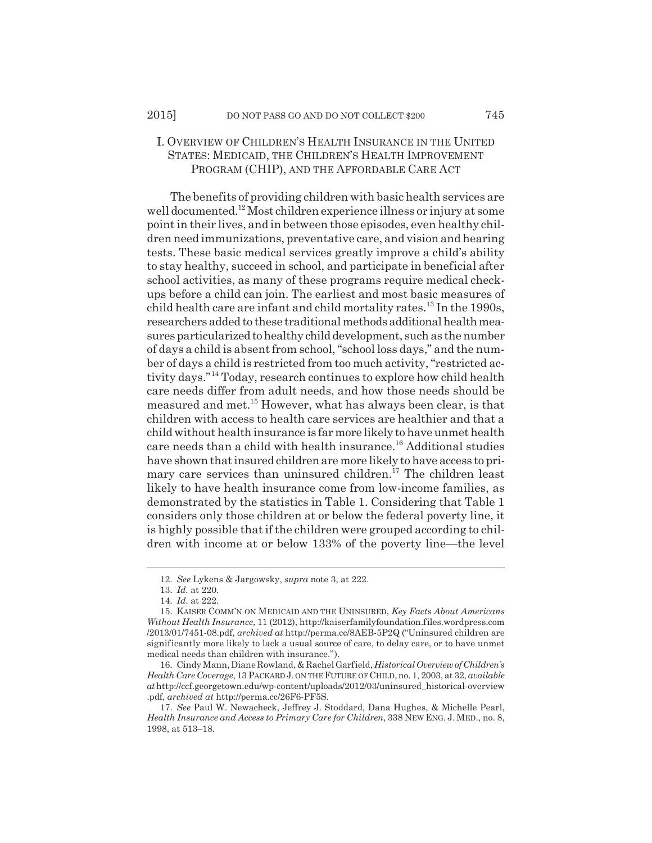## I. OVERVIEW OF CHILDREN'S HEALTH INSURANCE IN THE UNITED STATES: MEDICAID, THE CHILDREN'S HEALTH IMPROVEMENT PROGRAM (CHIP), AND THE AFFORDABLE CARE ACT

The benefits of providing children with basic health services are well documented.12 Most children experience illness or injury at some point in their lives, and in between those episodes, even healthy children need immunizations, preventative care, and vision and hearing tests. These basic medical services greatly improve a child's ability to stay healthy, succeed in school, and participate in beneficial after school activities, as many of these programs require medical checkups before a child can join. The earliest and most basic measures of child health care are infant and child mortality rates.<sup>13</sup> In the 1990s, researchers added to these traditional methods additional health measures particularized to healthy child development, such as the number of days a child is absent from school, "school loss days," and the number of days a child is restricted from too much activity, "restricted activity days."14 Today, research continues to explore how child health care needs differ from adult needs, and how those needs should be measured and met.15 However, what has always been clear, is that children with access to health care services are healthier and that a child without health insurance is far more likely to have unmet health care needs than a child with health insurance.16 Additional studies have shown that insured children are more likely to have access to primary care services than uninsured children.<sup>17</sup> The children least likely to have health insurance come from low-income families, as demonstrated by the statistics in Table 1. Considering that Table 1 considers only those children at or below the federal poverty line, it is highly possible that if the children were grouped according to children with income at or below 133% of the poverty line—the level

<sup>12.</sup> *See* Lykens & Jargowsky, *supra* note 3, at 222.

<sup>13.</sup> *Id.* at 220.

<sup>14.</sup> *Id.* at 222.

<sup>15.</sup> KAISER COMM'N ON MEDICAID AND THE UNINSURED, *Key Facts About Americans Without Health Insurance*, 11 (2012), http://kaiserfamilyfoundation.files.wordpress.com /2013/01/7451-08.pdf, *archived at* http://perma.cc/8AEB-5P2Q ("Uninsured children are significantly more likely to lack a usual source of care, to delay care, or to have unmet medical needs than children with insurance.").

<sup>16.</sup> Cindy Mann, Diane Rowland, & Rachel Garfield, *Historical Overview of Children's Health Care Coverage*, 13 PACKARD J. ON THE FUTURE OF CHILD,no. 1, 2003, at 32, *available at* http://ccf.georgetown.edu/wp-content/uploads/2012/03/uninsured\_historical-overview .pdf, *archived at* http://perma.cc/26F6-PF5S.

<sup>17.</sup> *See* Paul W. Newacheck, Jeffrey J. Stoddard, Dana Hughes, & Michelle Pearl, *Health Insurance and Access to Primary Care for Children*, 338 NEW ENG. J. MED., no. 8, 1998, at 513–18.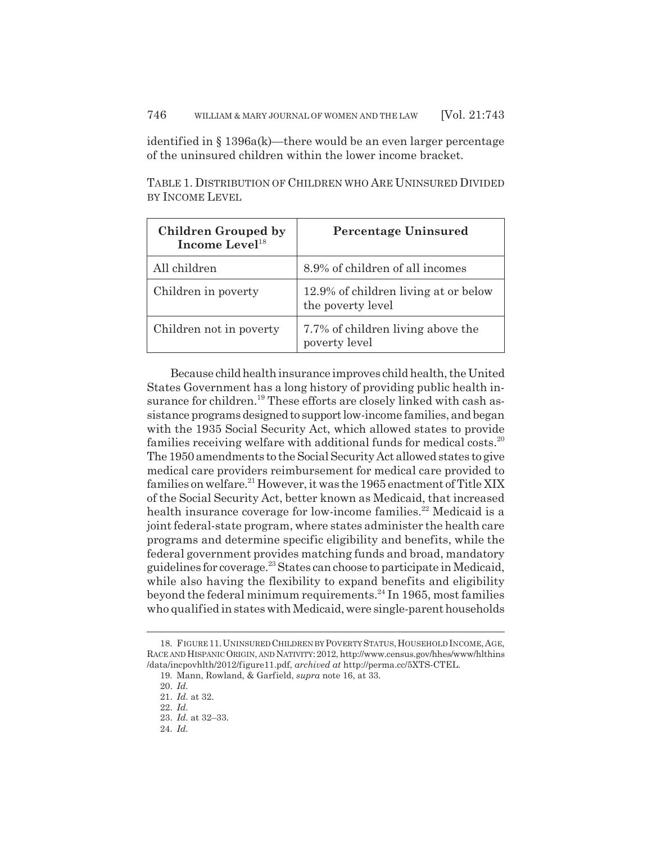identified in § 1396a(k)—there would be an even larger percentage of the uninsured children within the lower income bracket.

TABLE 1. DISTRIBUTION OF CHILDREN WHO ARE UNINSURED DIVIDED BY INCOME LEVEL

| <b>Children Grouped by</b><br>Income Level <sup>18</sup> | <b>Percentage Uninsured</b>                               |
|----------------------------------------------------------|-----------------------------------------------------------|
| All children                                             | 8.9% of children of all incomes                           |
| Children in poverty                                      | 12.9% of children living at or below<br>the poverty level |
| Children not in poverty                                  | 7.7% of children living above the<br>poverty level        |

Because child health insurance improves child health, the United States Government has a long history of providing public health insurance for children.<sup>19</sup> These efforts are closely linked with cash assistance programs designed to support low-income families, and began with the 1935 Social Security Act, which allowed states to provide families receiving welfare with additional funds for medical costs.<sup>20</sup> The 1950 amendments to the Social Security Act allowed states to give medical care providers reimbursement for medical care provided to families on welfare.<sup>21</sup> However, it was the 1965 enactment of Title XIX of the Social Security Act, better known as Medicaid, that increased health insurance coverage for low-income families.<sup>22</sup> Medicaid is a joint federal-state program, where states administer the health care programs and determine specific eligibility and benefits, while the federal government provides matching funds and broad, mandatory guidelines for coverage.<sup>23</sup> States can choose to participate in Medicaid, while also having the flexibility to expand benefits and eligibility beyond the federal minimum requirements.<sup>24</sup> In 1965, most families who qualified in states with Medicaid, were single-parent households

<sup>18.</sup> FIGURE 11. UNINSURED CHILDREN BY POVERTY STATUS, HOUSEHOLD INCOME, AGE, RACE AND HISPANIC ORIGIN, AND NATIVITY:2012, http://www.census.gov/hhes/www/hlthins /data/incpovhlth/2012/figure11.pdf, *archived at* http://perma.cc/5XTS-CTEL.

<sup>19.</sup> Mann, Rowland, & Garfield, *supra* note 16, at 33.

<sup>20.</sup> *Id.*

<sup>21.</sup> *Id.* at 32.

<sup>22.</sup> *Id.*

<sup>23.</sup> *Id.* at 32–33.

<sup>24.</sup> *Id.*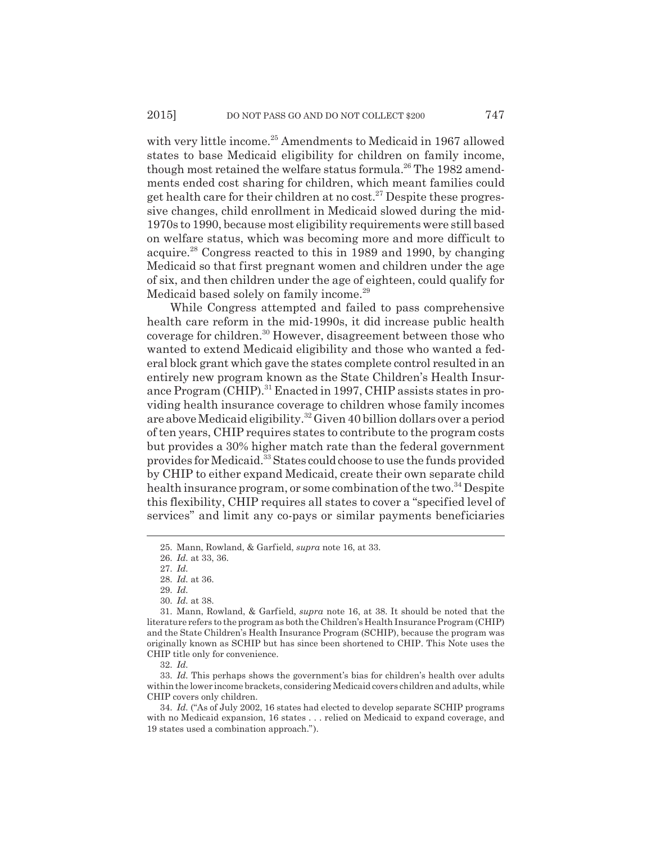with very little income.<sup>25</sup> Amendments to Medicaid in 1967 allowed states to base Medicaid eligibility for children on family income, though most retained the welfare status formula.<sup>26</sup> The 1982 amendments ended cost sharing for children, which meant families could get health care for their children at no cost.<sup>27</sup> Despite these progressive changes, child enrollment in Medicaid slowed during the mid-1970s to 1990, because most eligibility requirements were still based on welfare status, which was becoming more and more difficult to acquire.28 Congress reacted to this in 1989 and 1990, by changing Medicaid so that first pregnant women and children under the age of six, and then children under the age of eighteen, could qualify for Medicaid based solely on family income.<sup>29</sup>

While Congress attempted and failed to pass comprehensive health care reform in the mid-1990s, it did increase public health coverage for children.30 However, disagreement between those who wanted to extend Medicaid eligibility and those who wanted a federal block grant which gave the states complete control resulted in an entirely new program known as the State Children's Health Insurance Program (CHIP).<sup>31</sup> Enacted in 1997, CHIP assists states in providing health insurance coverage to children whose family incomes are above Medicaid eligibility.<sup>32</sup> Given 40 billion dollars over a period of ten years, CHIP requires states to contribute to the program costs but provides a 30% higher match rate than the federal government provides for Medicaid.<sup>33</sup> States could choose to use the funds provided by CHIP to either expand Medicaid, create their own separate child health insurance program, or some combination of the two.<sup>34</sup> Despite this flexibility, CHIP requires all states to cover a "specified level of services" and limit any co-pays or similar payments beneficiaries

32. *Id.*

33. *Id.* This perhaps shows the government's bias for children's health over adults within the lower income brackets, considering Medicaid covers children and adults, while CHIP covers only children.

34. *Id.* ("As of July 2002, 16 states had elected to develop separate SCHIP programs with no Medicaid expansion, 16 states . . . relied on Medicaid to expand coverage, and 19 states used a combination approach.").

<sup>25.</sup> Mann, Rowland, & Garfield, *supra* note 16, at 33.

<sup>26.</sup> *Id.* at 33, 36.

<sup>27.</sup> *Id.*

<sup>28.</sup> *Id.* at 36.

<sup>29.</sup> *Id.*

<sup>30.</sup> *Id.* at 38.

<sup>31.</sup> Mann, Rowland, & Garfield, *supra* note 16, at 38. It should be noted that the literature refers to the program as both the Children's Health Insurance Program (CHIP) and the State Children's Health Insurance Program (SCHIP), because the program was originally known as SCHIP but has since been shortened to CHIP. This Note uses the CHIP title only for convenience.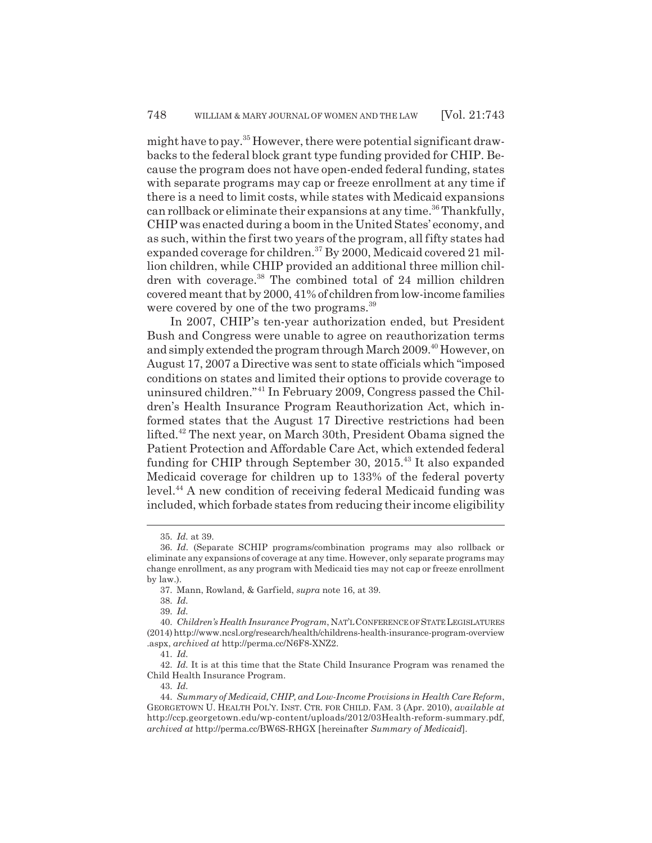might have to pay.35 However, there were potential significant drawbacks to the federal block grant type funding provided for CHIP. Because the program does not have open-ended federal funding, states with separate programs may cap or freeze enrollment at any time if there is a need to limit costs, while states with Medicaid expansions can rollback or eliminate their expansions at any time.<sup>36</sup> Thankfully, CHIP was enacted during a boom in the United States' economy, and as such, within the first two years of the program, all fifty states had expanded coverage for children.<sup>37</sup> By 2000, Medicaid covered 21 million children, while CHIP provided an additional three million children with coverage.<sup>38</sup> The combined total of 24 million children covered meant that by 2000, 41% of children from low-income families were covered by one of the two programs.<sup>39</sup>

In 2007, CHIP's ten-year authorization ended, but President Bush and Congress were unable to agree on reauthorization terms and simply extended the program through March 2009.<sup>40</sup> However, on August 17, 2007 a Directive was sent to state officials which "imposed conditions on states and limited their options to provide coverage to uninsured children."41 In February 2009, Congress passed the Children's Health Insurance Program Reauthorization Act, which informed states that the August 17 Directive restrictions had been lifted.42 The next year, on March 30th, President Obama signed the Patient Protection and Affordable Care Act, which extended federal funding for CHIP through September 30, 2015.<sup>43</sup> It also expanded Medicaid coverage for children up to 133% of the federal poverty level.44 A new condition of receiving federal Medicaid funding was included, which forbade states from reducing their income eligibility

<sup>35.</sup> *Id.* at 39.

<sup>36.</sup> *Id.* (Separate SCHIP programs/combination programs may also rollback or eliminate any expansions of coverage at any time. However, only separate programs may change enrollment, as any program with Medicaid ties may not cap or freeze enrollment by law.).

<sup>37.</sup> Mann, Rowland, & Garfield, *supra* note 16, at 39.

<sup>38.</sup> *Id.*

<sup>39.</sup> *Id.*

<sup>40.</sup> *Children's Health Insurance Program*, NAT'L CONFERENCE OF STATE LEGISLATURES (2014) http://www.ncsl.org/research/health/childrens-health-insurance-program-overview .aspx, *archived at* http://perma.cc/N6F8-XNZ2.

<sup>41.</sup> *Id.*

<sup>42.</sup> *Id.* It is at this time that the State Child Insurance Program was renamed the Child Health Insurance Program.

<sup>43.</sup> *Id.*

<sup>44.</sup> *Summary of Medicaid, CHIP, and Low-Income Provisions in Health Care Reform*, GEORGETOWN U. HEALTH POL'Y. INST. CTR. FOR CHILD. FAM. 3 (Apr. 2010), *available at* http://ccp.georgetown.edu/wp-content/uploads/2012/03Health-reform-summary.pdf, *archived at* http://perma.cc/BW6S-RHGX [hereinafter *Summary of Medicaid*].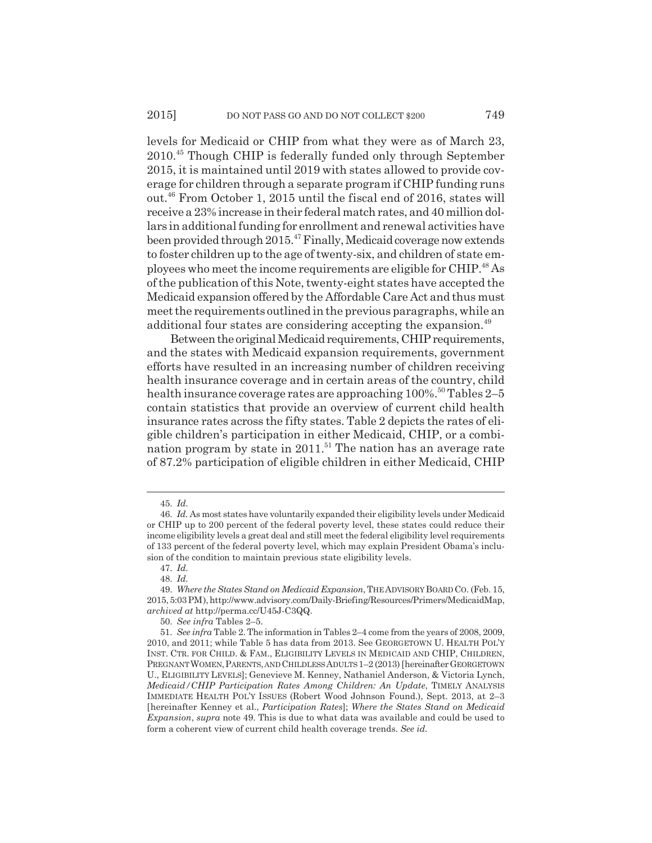levels for Medicaid or CHIP from what they were as of March 23, 2010.45 Though CHIP is federally funded only through September 2015, it is maintained until 2019 with states allowed to provide coverage for children through a separate program if CHIP funding runs out.46 From October 1, 2015 until the fiscal end of 2016, states will receive a 23% increase in their federal match rates, and 40 million dollars in additional funding for enrollment and renewal activities have been provided through 2015.<sup>47</sup> Finally, Medicaid coverage now extends to foster children up to the age of twenty-six, and children of state employees who meet the income requirements are eligible for CHIP.48 As of the publication of this Note, twenty-eight states have accepted the Medicaid expansion offered by the Affordable Care Act and thus must meet the requirements outlined in the previous paragraphs, while an additional four states are considering accepting the expansion.<sup>49</sup>

Between the original Medicaid requirements, CHIP requirements, and the states with Medicaid expansion requirements, government efforts have resulted in an increasing number of children receiving health insurance coverage and in certain areas of the country, child health insurance coverage rates are approaching  $100\%$ .<sup>50</sup> Tables 2–5 contain statistics that provide an overview of current child health insurance rates across the fifty states. Table 2 depicts the rates of eligible children's participation in either Medicaid, CHIP, or a combination program by state in  $2011$ .<sup>51</sup> The nation has an average rate of 87.2% participation of eligible children in either Medicaid, CHIP

<sup>45.</sup> *Id.*

<sup>46.</sup> *Id.* As most states have voluntarily expanded their eligibility levels under Medicaid or CHIP up to 200 percent of the federal poverty level, these states could reduce their income eligibility levels a great deal and still meet the federal eligibility level requirements of 133 percent of the federal poverty level, which may explain President Obama's inclusion of the condition to maintain previous state eligibility levels.

<sup>47.</sup> *Id.*

<sup>48.</sup> *Id.*

<sup>49.</sup> *Where the States Stand on Medicaid Expansion*, THE ADVISORY BOARD CO. (Feb. 15, 2015, 5:03 PM), http://www.advisory.com/Daily-Briefing/Resources/Primers/MedicaidMap, *archived at* http://perma.cc/U45J-C3QQ.

<sup>50.</sup> *See infra* Tables 2–5.

<sup>51.</sup> *See infra* Table 2. The information in Tables 2–4 come from the years of 2008, 2009, 2010, and 2011; while Table 5 has data from 2013. See GEORGETOWN U. HEALTH POL'Y INST. CTR. FOR CHILD. & FAM., ELIGIBILITY LEVELS IN MEDICAID AND CHIP, CHILDREN, PREGNANT WOMEN, PARENTS, AND CHILDLESS ADULTS  $1-2$  (2013) [hereinafter GEORGETOWN U., ELIGIBILITY LEVELS]; Genevieve M. Kenney, Nathaniel Anderson, & Victoria Lynch, *Medicaid/CHIP Participation Rates Among Children: An Update*, TIMELY ANALYSIS IMMEDIATE HEALTH POL'Y ISSUES (Robert Wood Johnson Found.), Sept. 2013, at 2–3 [hereinafter Kenney et al., *Participation Rates*]; *Where the States Stand on Medicaid Expansion*, *supra* note 49. This is due to what data was available and could be used to form a coherent view of current child health coverage trends. *See id.*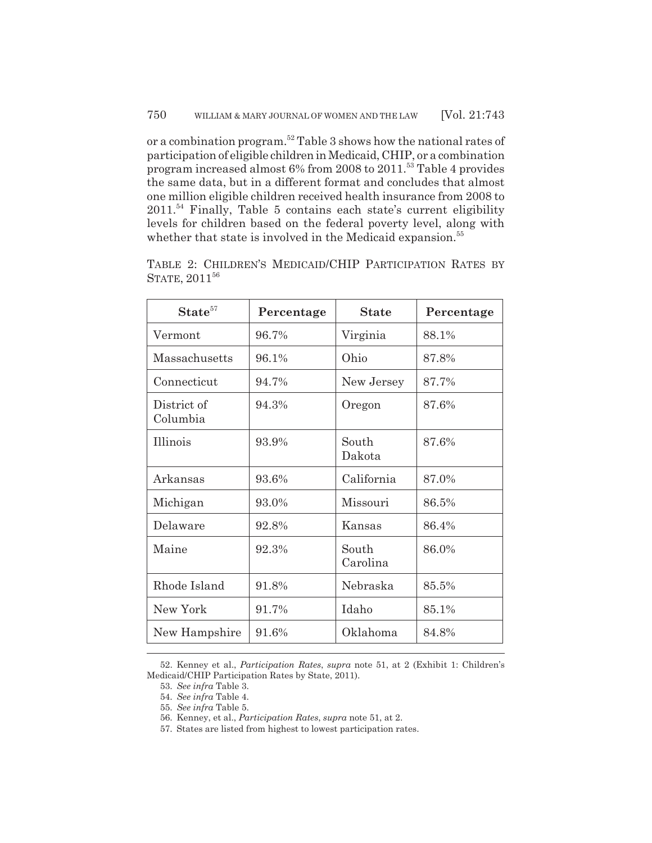or a combination program.52 Table 3 shows how the national rates of participation of eligible children in Medicaid, CHIP, or a combination program increased almost 6% from 2008 to 2011.53 Table 4 provides the same data, but in a different format and concludes that almost one million eligible children received health insurance from 2008 to  $2011$ .<sup>54</sup> Finally, Table 5 contains each state's current eligibility levels for children based on the federal poverty level, along with whether that state is involved in the Medicaid expansion.<sup>55</sup>

| $\textbf{State}^{57}$   | Percentage | <b>State</b>      | Percentage |
|-------------------------|------------|-------------------|------------|
| Vermont                 | 96.7%      | Virginia          | 88.1%      |
| Massachusetts           | 96.1%      | Ohio              | 87.8%      |
| Connecticut             | 94.7%      | New Jersey        | 87.7%      |
| District of<br>Columbia | 94.3%      | Oregon            | 87.6%      |
| Illinois                | 93.9%      | South<br>Dakota   | 87.6%      |
| Arkansas                | 93.6%      | California        | 87.0%      |
| Michigan                | 93.0%      | Missouri          | 86.5%      |
| Delaware                | 92.8%      | Kansas            | 86.4%      |
| Maine                   | 92.3%      | South<br>Carolina | 86.0%      |
| Rhode Island            | 91.8%      | Nebraska          | 85.5%      |
| New York                | 91.7%      | Idaho             | 85.1%      |
| New Hampshire           | 91.6%      | Oklahoma          | 84.8%      |

TABLE 2: CHILDREN'S MEDICAID/CHIP PARTICIPATION RATES BY STATE, 2011<sup>56</sup>

56. Kenney, et al., *Participation Rates*, *supra* note 51, at 2.

<sup>52.</sup> Kenney et al., *Participation Rates*, *supra* note 51, at 2 (Exhibit 1: Children's Medicaid/CHIP Participation Rates by State, 2011).

<sup>53.</sup> *See infra* Table 3.

<sup>54.</sup> *See infra* Table 4.

<sup>55.</sup> *See infra* Table 5.

<sup>57.</sup> States are listed from highest to lowest participation rates.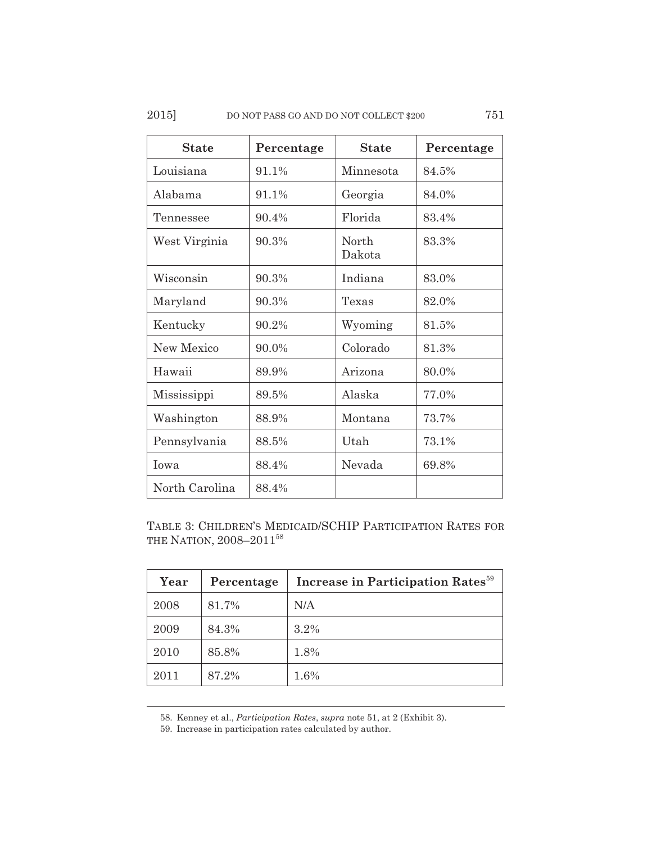| <b>State</b>   | Percentage | <b>State</b>     | Percentage |
|----------------|------------|------------------|------------|
| Louisiana      | 91.1%      | Minnesota        | 84.5%      |
| Alabama        | 91.1%      | Georgia          | 84.0%      |
| Tennessee      | 90.4%      | Florida          | 83.4%      |
| West Virginia  | 90.3%      | North.<br>Dakota | 83.3%      |
| Wisconsin      | 90.3%      | Indiana          | 83.0%      |
| Maryland       | 90.3%      | Texas            | 82.0%      |
| Kentucky       | 90.2%      | Wyoming          | 81.5%      |
| New Mexico     | 90.0%      | Colorado         | 81.3%      |
| Hawaii         | 89.9%      | Arizona          | 80.0%      |
| Mississippi    | 89.5%      | Alaska           | 77.0%      |
| Washington     | 88.9%      | Montana          | 73.7%      |
| Pennsylvania   | 88.5%      | Utah             | 73.1%      |
| Iowa           | 88.4%      | Nevada           | 69.8%      |
| North Carolina | 88.4%      |                  |            |

TABLE 3: CHILDREN'S MEDICAID/SCHIP PARTICIPATION RATES FOR THE NATION, 2008-2011<sup>58</sup>

| Year | Percentage | Increase in Participation Rates <sup>59</sup> |
|------|------------|-----------------------------------------------|
| 2008 | 81.7%      | N/A                                           |
| 2009 | 84.3%      | 3.2%                                          |
| 2010 | 85.8%      | 1.8%                                          |
| 2011 | 87.2%      | 1.6%                                          |

58. Kenney et al., *Participation Rates*, *supra* note 51, at 2 (Exhibit 3).

59. Increase in participation rates calculated by author.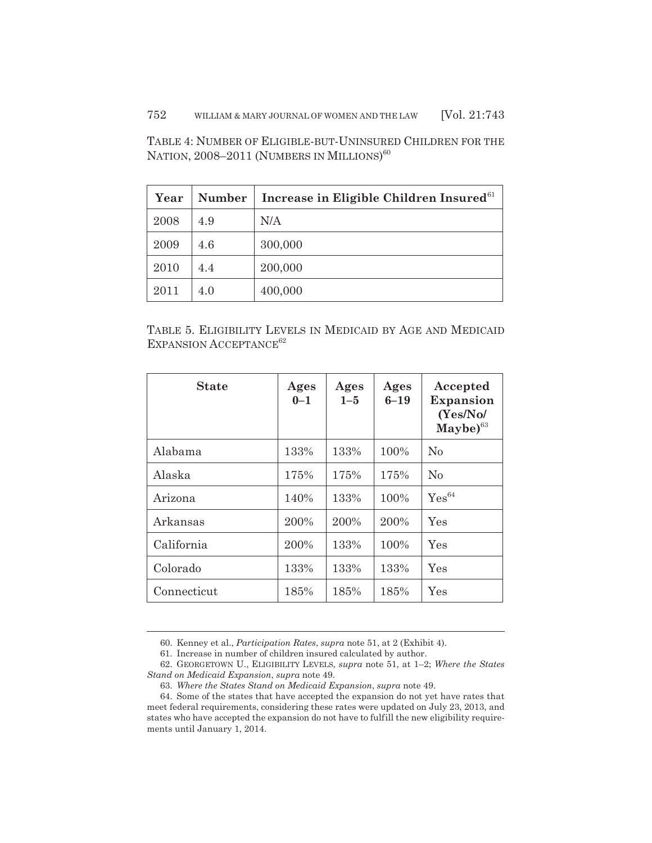TABLE 4: NUMBER OF ELIGIBLE-BUT-UNINSURED CHILDREN FOR THE NATION, 2008–2011 (NUMBERS IN MILLIONS)<sup>60</sup>

| Year | <b>Number</b> | Increase in Eligible Children Insured <sup>61</sup> |
|------|---------------|-----------------------------------------------------|
| 2008 | 4.9           | N/A                                                 |
| 2009 | 4.6           | 300,000                                             |
| 2010 | 4.4           | 200,000                                             |
| 2011 | 4.0           | 400,000                                             |

TABLE 5. ELIGIBILITY LEVELS IN MEDICAID BY AGE AND MEDICAID EXPANSION ACCEPTANCE<sup>62</sup>

| <b>State</b> | Ages<br>$0 - 1$ | Ages<br>$1 - 5$ | Ages<br>$6 - 19$ | Accepted<br><b>Expansion</b><br>(Yes/No/<br>$\mathbf{Maybe})$ <sup>63</sup> |
|--------------|-----------------|-----------------|------------------|-----------------------------------------------------------------------------|
| Alabama      | 133%            | 133%            | 100%             | N <sub>0</sub>                                                              |
| Alaska       | 175%            | 175%            | 175%             | N <sub>0</sub>                                                              |
| Arizona      | 140%            | 133%            | 100%             | $Yes^{64}$                                                                  |
| Arkansas     | 200%            | 200%            | 200%             | Yes                                                                         |
| California   | 200%            | 133%            | 100%             | Yes                                                                         |
| Colorado     | 133%            | 133%            | 133%             | Yes                                                                         |
| Connecticut  | 185%            | 185%            | 185%             | Yes                                                                         |

<sup>60.</sup> Kenney et al., *Participation Rates*, *supra* note 51, at 2 (Exhibit 4).

<sup>61.</sup> Increase in number of children insured calculated by author.

<sup>62.</sup> GEORGETOWN U., ELIGIBILITY LEVELS, *supra* note 51, at 1–2; *Where the States Stand on Medicaid Expansion*, *supra* note 49.

<sup>63.</sup> *Where the States Stand on Medicaid Expansion*, *supra* note 49.

<sup>64.</sup> Some of the states that have accepted the expansion do not yet have rates that meet federal requirements, considering these rates were updated on July 23, 2013, and states who have accepted the expansion do not have to fulfill the new eligibility requirements until January 1, 2014.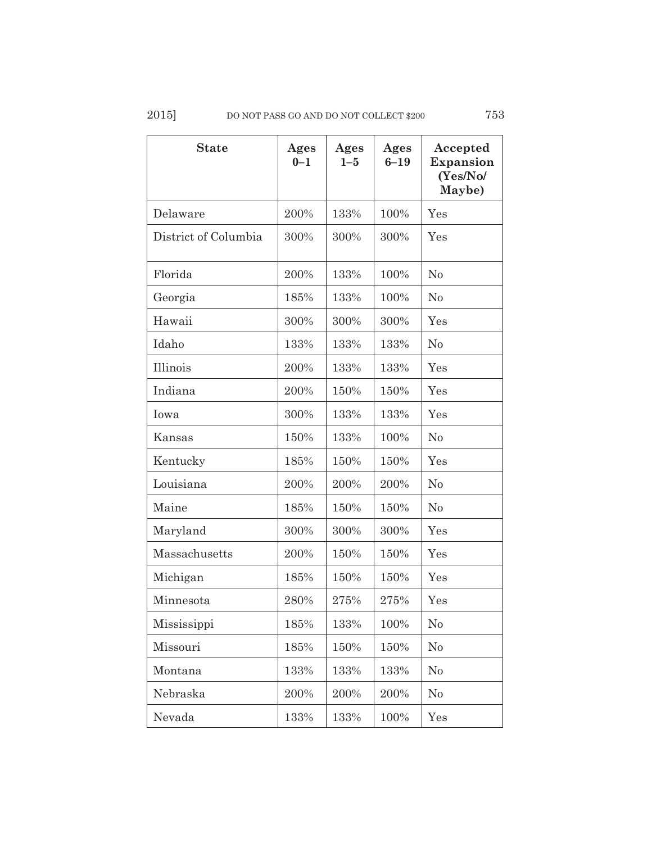| <b>State</b>         | Ages<br>$0 - 1$ | Ages<br>$1 - 5$ | Ages<br>$6 - 19$ | Accepted<br>Expansion<br>(Yes/No/<br>Maybe) |
|----------------------|-----------------|-----------------|------------------|---------------------------------------------|
| Delaware             | 200%            | 133%            | 100%             | Yes                                         |
| District of Columbia | 300%            | 300%            | 300%             | Yes                                         |
| Florida              | 200%            | 133%            | 100%             | No                                          |
| Georgia              | 185%            | 133%            | 100%             | N <sub>0</sub>                              |
| Hawaii               | 300%            | 300%            | 300%             | Yes                                         |
| Idaho                | 133%            | 133%            | 133%             | No                                          |
| Illinois             | 200%            | 133%            | 133%             | Yes                                         |
| Indiana              | 200%            | 150%            | 150%             | Yes                                         |
| Iowa                 | 300%            | 133%            | 133%             | Yes                                         |
| Kansas               | 150%            | 133%            | 100%             | N <sub>0</sub>                              |
| Kentucky             | 185%            | 150%            | 150%             | Yes                                         |
| Louisiana            | 200%            | 200%            | 200%             | $\rm No$                                    |
| Maine                | 185%            | 150%            | 150%             | No                                          |
| Maryland             | 300%            | 300%            | 300%             | Yes                                         |
| Massachusetts        | 200%            | 150%            | 150%             | Yes                                         |
| Michigan             | 185%            | 150%            | 150%             | Yes                                         |
| Minnesota            | 280%            | 275%            | 275%             | Yes                                         |
| Mississippi          | 185%            | 133%            | 100%             | N <sub>0</sub>                              |
| Missouri             | 185%            | 150%            | 150%             | No                                          |
| Montana              | 133%            | 133%            | 133%             | N <sub>0</sub>                              |
| Nebraska             | 200%            | 200%            | 200%             | No                                          |
| Nevada               | 133%            | 133%            | 100%             | Yes                                         |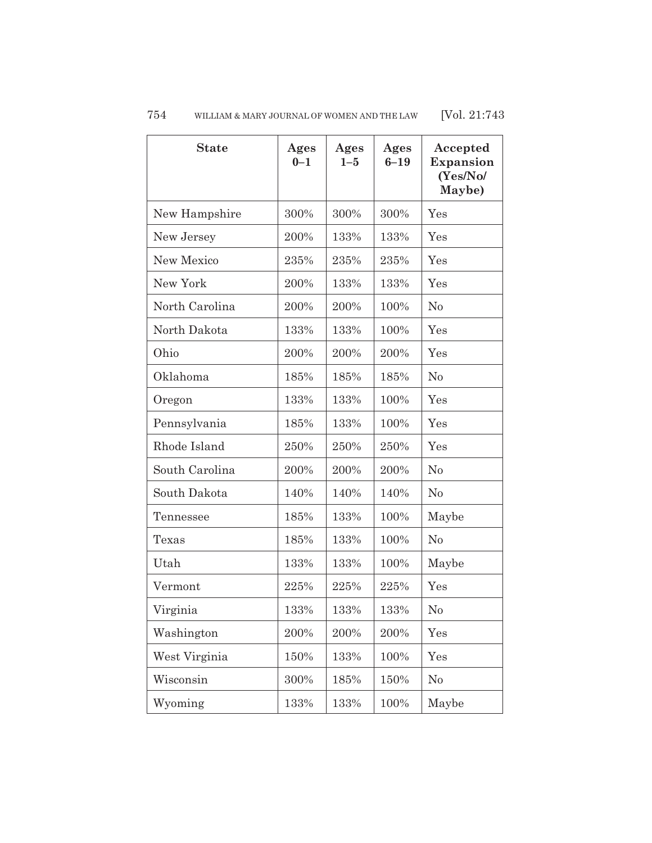| <b>State</b>   | Ages<br>$0 - 1$ | Ages<br>$1 - 5$ | Ages<br>$6 - 19$ | Accepted<br><b>Expansion</b><br>(Yes/No/<br>Maybe) |
|----------------|-----------------|-----------------|------------------|----------------------------------------------------|
| New Hampshire  | 300%            | 300%            | 300%             | Yes                                                |
| New Jersey     | 200%            | 133%            | 133%             | Yes                                                |
| New Mexico     | 235%            | 235%            | 235%             | Yes                                                |
| New York       | 200%            | 133%            | 133%             | Yes                                                |
| North Carolina | 200%            | 200%            | 100%             | No                                                 |
| North Dakota   | 133%            | 133%            | 100%             | Yes                                                |
| Ohio           | 200%            | 200%            | 200%             | Yes                                                |
| Oklahoma       | 185%            | 185%            | 185%             | No                                                 |
| Oregon         | 133%            | 133%            | 100%             | Yes                                                |
| Pennsylvania   | 185%            | 133%            | 100%             | Yes                                                |
| Rhode Island   | 250%            | 250%            | 250%             | Yes                                                |
| South Carolina | 200%            | 200%            | 200%             | No                                                 |
| South Dakota   | 140%            | 140%            | 140%             | N <sub>0</sub>                                     |
| Tennessee      | 185%            | 133%            | 100%             | Maybe                                              |
| Texas          | 185%            | 133%            | 100%             | N <sub>0</sub>                                     |
| Utah           | 133%            | 133%            | 100%             | Maybe                                              |
| Vermont        | 225%            | 225%            | 225%             | Yes                                                |
| Virginia       | 133%            | 133%            | 133%             | N <sub>o</sub>                                     |
| Washington     | 200%            | 200%            | 200%             | Yes                                                |
| West Virginia  | 150%            | 133%            | 100%             | Yes                                                |
| Wisconsin      | 300%            | 185%            | 150%             | No                                                 |
| Wyoming        | 133%            | 133%            | 100%             | Maybe                                              |

## 754 WILLIAM & MARY JOURNAL OF WOMEN AND THE LAW [Vol. 21:743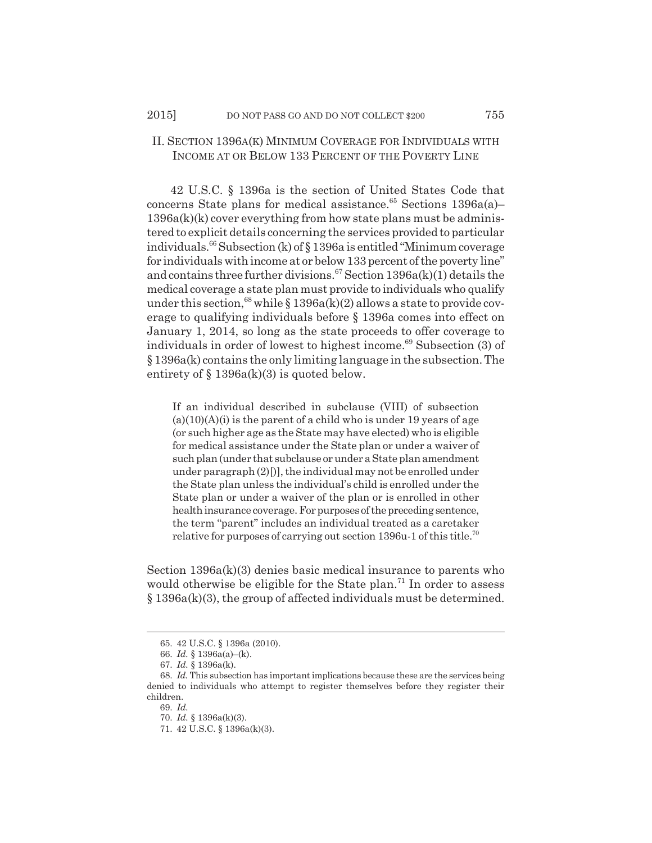## II. SECTION 1396A(K) MINIMUM COVERAGE FOR INDIVIDUALS WITH INCOME AT OR BELOW 133 PERCENT OF THE POVERTY LINE

42 U.S.C. § 1396a is the section of United States Code that concerns State plans for medical assistance.<sup>65</sup> Sections 1396a(a)–  $1396a(k)(k)$  cover everything from how state plans must be administered to explicit details concerning the services provided to particular individuals.66 Subsection (k) of § 1396a is entitled "Minimum coverage for individuals with income at or below 133 percent of the poverty line" and contains three further divisions.<sup>67</sup> Section 1396a(k)(1) details the medical coverage a state plan must provide to individuals who qualify under this section,<sup>68</sup> while § 1396a(k)(2) allows a state to provide coverage to qualifying individuals before § 1396a comes into effect on January 1, 2014, so long as the state proceeds to offer coverage to individuals in order of lowest to highest income. $69$  Subsection (3) of § 1396a(k) contains the only limiting language in the subsection. The entirety of  $\S 1396a(k)(3)$  is quoted below.

If an individual described in subclause (VIII) of subsection  $(a)(10)(A)(i)$  is the parent of a child who is under 19 years of age (or such higher age as the State may have elected) who is eligible for medical assistance under the State plan or under a waiver of such plan (under that subclause or under a State plan amendment under paragraph  $(2)$ [)], the individual may not be enrolled under the State plan unless the individual's child is enrolled under the State plan or under a waiver of the plan or is enrolled in other health insurance coverage. For purposes of the preceding sentence, the term "parent" includes an individual treated as a caretaker relative for purposes of carrying out section 1396u-1 of this title.<sup>70</sup>

Section 1396a(k)(3) denies basic medical insurance to parents who would otherwise be eligible for the State plan.<sup>71</sup> In order to assess § 1396a(k)(3), the group of affected individuals must be determined.

<sup>65. 42</sup> U.S.C. § 1396a (2010).

<sup>66.</sup> *Id.* § 1396a(a)–(k).

<sup>67.</sup> *Id.* § 1396a(k).

<sup>68.</sup> *Id.* This subsection has important implications because these are the services being denied to individuals who attempt to register themselves before they register their children.

<sup>69.</sup> *Id.*

<sup>70.</sup> *Id.* § 1396a(k)(3).

<sup>71. 42</sup> U.S.C. § 1396a(k)(3).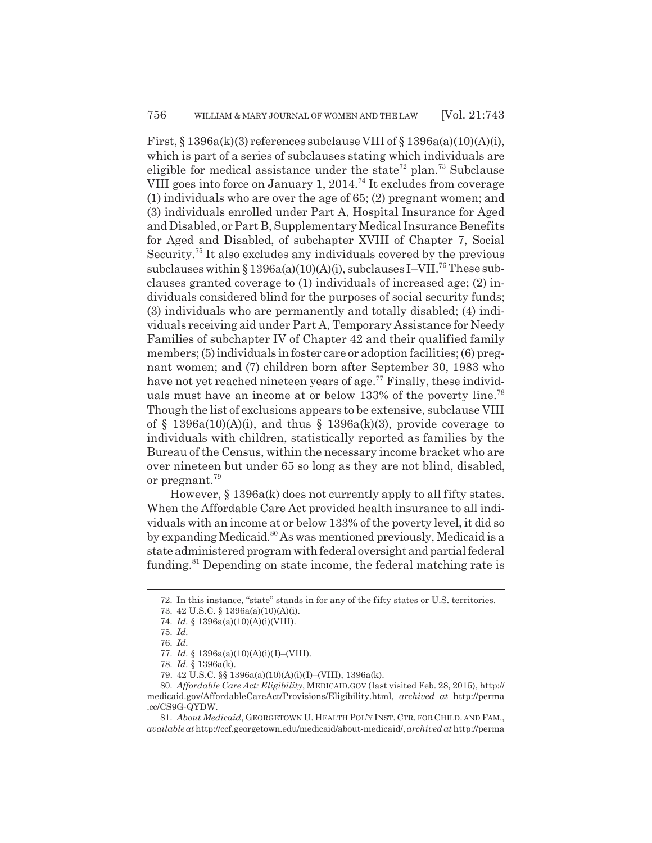First,  $\S 1396a(k)(3)$  references subclause VIII of  $\S 1396a(a)(10)(A)(i)$ , which is part of a series of subclauses stating which individuals are eligible for medical assistance under the state<sup>72</sup> plan.<sup>73</sup> Subclause VIII goes into force on January 1,  $2014<sup>74</sup>$  It excludes from coverage (1) individuals who are over the age of 65; (2) pregnant women; and (3) individuals enrolled under Part A, Hospital Insurance for Aged and Disabled, or Part B, Supplementary Medical Insurance Benefits for Aged and Disabled, of subchapter XVIII of Chapter 7, Social Security.75 It also excludes any individuals covered by the previous subclauses within  $\S 1396a(a)(10)(A)(i)$ , subclauses I–VII.<sup>76</sup> These subclauses granted coverage to (1) individuals of increased age; (2) individuals considered blind for the purposes of social security funds; (3) individuals who are permanently and totally disabled; (4) individuals receiving aid under Part A, Temporary Assistance for Needy Families of subchapter IV of Chapter 42 and their qualified family members; (5) individuals in foster care or adoption facilities; (6) pregnant women; and (7) children born after September 30, 1983 who have not yet reached nineteen years of age.<sup>77</sup> Finally, these individuals must have an income at or below 133% of the poverty line.<sup>78</sup> Though the list of exclusions appears to be extensive, subclause VIII of § 1396a(10)(A)(i), and thus § 1396a(k)(3), provide coverage to individuals with children, statistically reported as families by the Bureau of the Census, within the necessary income bracket who are over nineteen but under 65 so long as they are not blind, disabled, or pregnant.79

However, § 1396a(k) does not currently apply to all fifty states. When the Affordable Care Act provided health insurance to all individuals with an income at or below 133% of the poverty level, it did so by expanding Medicaid.<sup>80</sup> As was mentioned previously, Medicaid is a state administered program with federal oversight and partial federal funding.<sup>81</sup> Depending on state income, the federal matching rate is

<sup>72.</sup> In this instance, "state" stands in for any of the fifty states or U.S. territories.

<sup>73. 42</sup> U.S.C. § 1396a(a)(10)(A)(i).

<sup>74.</sup> *Id.* § 1396a(a)(10)(A)(i)(VIII).

<sup>75.</sup> *Id.*

<sup>76.</sup> *Id.*

<sup>77.</sup> *Id.* § 1396a(a)(10)(A)(i)(I)–(VIII).

<sup>78.</sup> *Id.* § 1396a(k).

<sup>79. 42</sup> U.S.C. §§ 1396a(a)(10)(A)(i)(I)–(VIII), 1396a(k).

<sup>80.</sup> *Affordable Care Act: Eligibility*, MEDICAID.GOV (last visited Feb. 28, 2015), http:// medicaid.gov/AffordableCareAct/Provisions/Eligibility.html, *archived at* http://perma .cc/CS9G-QYDW.

<sup>81.</sup> *About Medicaid*, GEORGETOWN U. HEALTH POL'Y INST. CTR. FOR CHILD. AND FAM., *available at* http://ccf.georgetown.edu/medicaid/about-medicaid/, *archived at* http://perma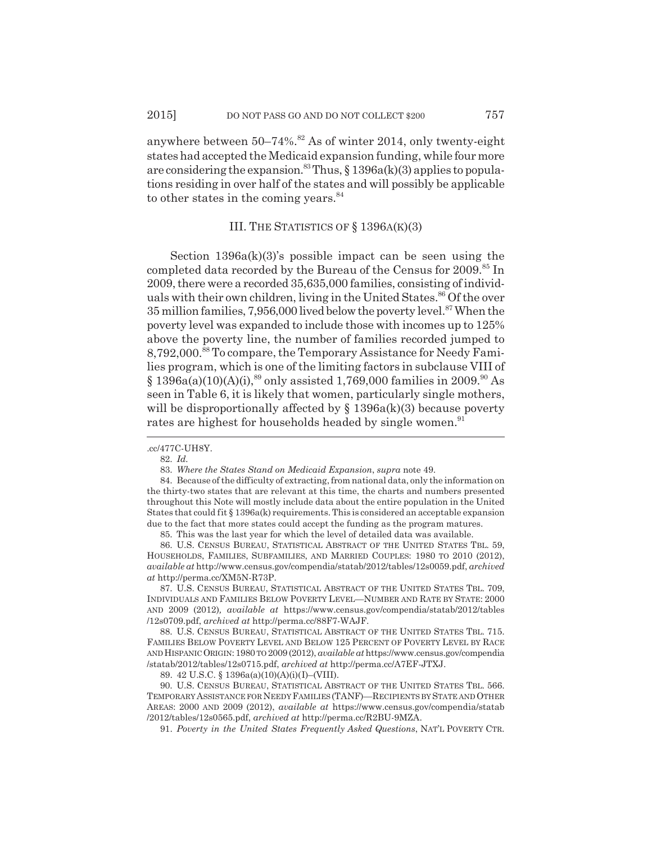anywhere between  $50-74\%$ .<sup>82</sup> As of winter 2014, only twenty-eight states had accepted the Medicaid expansion funding, while four more are considering the expansion.<sup>83</sup> Thus,  $\S 1396a(k)(3)$  applies to populations residing in over half of the states and will possibly be applicable to other states in the coming years.<sup>84</sup>

## III. THE STATISTICS OF § 1396A(K)(3)

Section 1396a(k)(3)'s possible impact can be seen using the completed data recorded by the Bureau of the Census for 2009.<sup>85</sup> In 2009, there were a recorded 35,635,000 families, consisting of individuals with their own children, living in the United States.<sup>86</sup> Of the over 35 million families,  $7,956,000$  lived below the poverty level.<sup>87</sup> When the poverty level was expanded to include those with incomes up to 125% above the poverty line, the number of families recorded jumped to 8,792,000.88 To compare, the Temporary Assistance for Needy Families program, which is one of the limiting factors in subclause VIII of  $\S$  1396a(a)(10)(A)(i),<sup>89</sup> only assisted 1,769,000 families in 2009.<sup>90</sup> As seen in Table 6, it is likely that women, particularly single mothers, will be disproportionally affected by  $\S$  1396a(k)(3) because poverty rates are highest for households headed by single women.<sup>91</sup>

85. This was the last year for which the level of detailed data was available.

86. U.S. CENSUS BUREAU, STATISTICAL ABSTRACT OF THE UNITED STATES TBL. 59, HOUSEHOLDS, FAMILIES, SUBFAMILIES, AND MARRIED COUPLES: 1980 TO 2010 (2012), *available at* http://www.census.gov/compendia/statab/2012/tables/12s0059.pdf, *archived at* http://perma.cc/XM5N-R73P.

87. U.S. CENSUS BUREAU, STATISTICAL ABSTRACT OF THE UNITED STATES TBL. 709, INDIVIDUALS AND FAMILIES BELOW POVERTY LEVEL—NUMBER AND RATE BY STATE: 2000 AND 2009 (2012)*, available at* https://www.census.gov/compendia/statab/2012/tables /12s0709.pdf, *archived at* http://perma.cc/88F7-WAJF.

88. U.S. CENSUS BUREAU, STATISTICAL ABSTRACT OF THE UNITED STATES TBL. 715. FAMILIES BELOW POVERTY LEVEL AND BELOW 125 PERCENT OF POVERTY LEVEL BY RACE AND HISPANIC ORIGIN:1980 TO 2009 (2012), *available at* https://www.census.gov/compendia /statab/2012/tables/12s0715.pdf, *archived at* http://perma.cc/A7EF-JTXJ.

89. 42 U.S.C. § 1396a(a)(10)(A)(i)(I)–(VIII).

90. U.S. CENSUS BUREAU, STATISTICAL ABSTRACT OF THE UNITED STATES TBL. 566. TEMPORARY ASSISTANCE FOR NEEDY FAMILIES (TANF)—RECIPIENTS BY STATE AND OTHER AREAS: 2000 AND 2009 (2012), *available at* https://www.census.gov/compendia/statab /2012/tables/12s0565.pdf, *archived at* http://perma.cc/R2BU-9MZA.

91. *Poverty in the United States Frequently Asked Questions*, NAT'L POVERTY CTR.

<sup>.</sup>cc/477C-UH8Y.

<sup>82.</sup> *Id.*

<sup>83.</sup> *Where the States Stand on Medicaid Expansion*, *supra* note 49.

<sup>84.</sup> Because of the difficulty of extracting, from national data, only the information on the thirty-two states that are relevant at this time, the charts and numbers presented throughout this Note will mostly include data about the entire population in the United States that could fit § 1396a(k) requirements. This is considered an acceptable expansion due to the fact that more states could accept the funding as the program matures.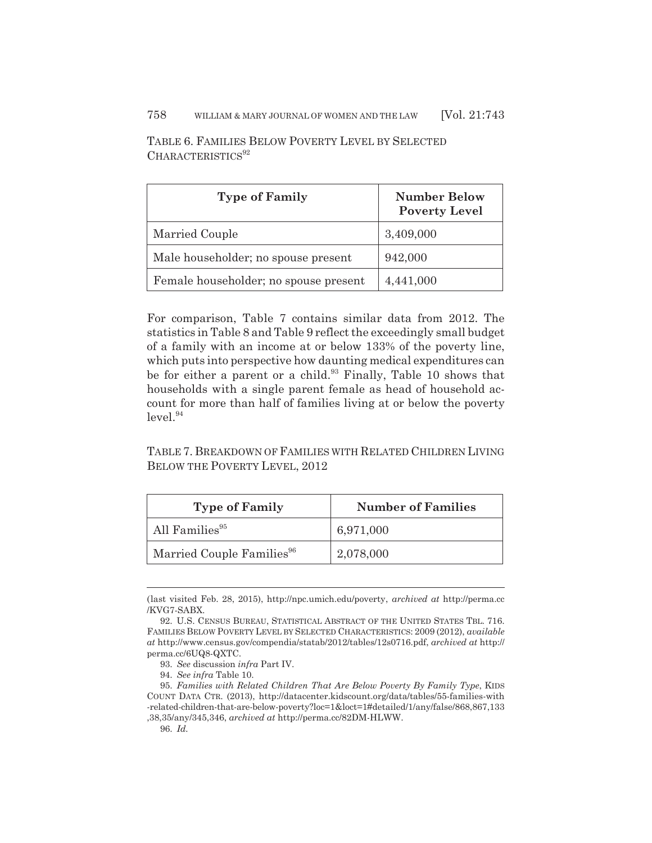| <b>Type of Family</b>                 | <b>Number Below</b><br><b>Poverty Level</b> |
|---------------------------------------|---------------------------------------------|
| Married Couple                        | 3,409,000                                   |
| Male householder; no spouse present   | 942,000                                     |
| Female householder; no spouse present | 4,441,000                                   |

TABLE 6. FAMILIES BELOW POVERTY LEVEL BY SELECTED  $CHARACTERISTICS<sup>92</sup>$ 

For comparison, Table 7 contains similar data from 2012. The statistics in Table 8 and Table 9 reflect the exceedingly small budget of a family with an income at or below 133% of the poverty line, which puts into perspective how daunting medical expenditures can be for either a parent or a child.<sup>93</sup> Finally, Table 10 shows that households with a single parent female as head of household account for more than half of families living at or below the poverty  $level.<sup>94</sup>$ 

TABLE 7. BREAKDOWN OF FAMILIES WITH RELATED CHILDREN LIVING BELOW THE POVERTY LEVEL, 2012

| <b>Type of Family</b>                 | <b>Number of Families</b> |
|---------------------------------------|---------------------------|
| All Families <sup>95</sup>            | 6,971,000                 |
| Married Couple Families <sup>96</sup> | 2,078,000                 |

<sup>(</sup>last visited Feb. 28, 2015), http://npc.umich.edu/poverty, *archived at* http://perma.cc /KVG7-SABX.

<sup>92.</sup> U.S. CENSUS BUREAU, STATISTICAL ABSTRACT OF THE UNITED STATES TBL. 716. FAMILIES BELOW POVERTY LEVEL BY SELECTED CHARACTERISTICS: 2009 (2012), *available at* http://www.census.gov/compendia/statab/2012/tables/12s0716.pdf, *archived at* http:// perma.cc/6UQ8-QXTC.

<sup>93.</sup> *See* discussion *infra* Part IV.

<sup>94.</sup> *See infra* Table 10.

<sup>95.</sup> *Families with Related Children That Are Below Poverty By Family Type*, KIDS COUNT DATA CTR. (2013), http://datacenter.kidscount.org/data/tables/55-families-with -related-children-that-are-below-poverty?loc=1&loct=1#detailed/1/any/false/868,867,133 ,38,35/any/345,346, *archived at* http://perma.cc/82DM-HLWW.

<sup>96.</sup> *Id.*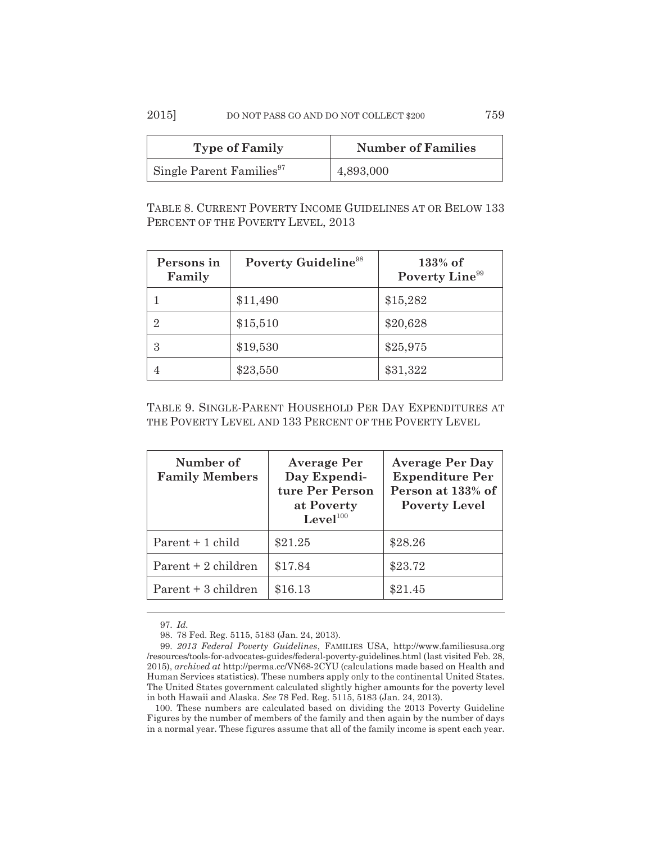## 2015] DO NOT PASS GO AND DO NOT COLLECT \$200 759

| <b>Type of Family</b>                | <b>Number of Families</b> |
|--------------------------------------|---------------------------|
| Single Parent Families <sup>97</sup> | 4,893,000                 |

TABLE 8. CURRENT POVERTY INCOME GUIDELINES AT OR BELOW 133 PERCENT OF THE POVERTY LEVEL, 2013

| Persons in<br>Family | Poverty Guideline <sup>98</sup> | $133%$ of<br>Poverty Line <sup>99</sup> |
|----------------------|---------------------------------|-----------------------------------------|
|                      | \$11,490                        | \$15,282                                |
| 2                    | \$15,510                        | \$20,628                                |
| 3                    | \$19,530                        | \$25,975                                |
| 4                    | \$23,550                        | \$31,322                                |

TABLE 9. SINGLE-PARENT HOUSEHOLD PER DAY EXPENDITURES AT THE POVERTY LEVEL AND 133 PERCENT OF THE POVERTY LEVEL

| Number of<br><b>Family Members</b> | <b>Average Per</b><br>Day Expendi-<br>ture Per Person<br>at Poverty<br>Level <sup>100</sup> | <b>Average Per Day</b><br><b>Expenditure Per</b><br>Person at 133% of<br><b>Poverty Level</b> |
|------------------------------------|---------------------------------------------------------------------------------------------|-----------------------------------------------------------------------------------------------|
| Parent + 1 child                   | \$21.25                                                                                     | \$28.26                                                                                       |
| Parent + 2 children                | \$17.84                                                                                     | \$23.72                                                                                       |
| Parent + 3 children                | \$16.13                                                                                     | \$21.45                                                                                       |

97. *Id.*

98. 78 Fed. Reg. 5115, 5183 (Jan. 24, 2013).

100. These numbers are calculated based on dividing the 2013 Poverty Guideline Figures by the number of members of the family and then again by the number of days in a normal year. These figures assume that all of the family income is spent each year.

<sup>99.</sup> *2013 Federal Poverty Guidelines*, FAMILIES USA, http://www.familiesusa.org /resources/tools-for-advocates-guides/federal-poverty-guidelines.html (last visited Feb. 28, 2015), *archived at* http://perma.cc/VN68-2CYU (calculations made based on Health and Human Services statistics). These numbers apply only to the continental United States. The United States government calculated slightly higher amounts for the poverty level in both Hawaii and Alaska. *See* 78 Fed. Reg. 5115, 5183 (Jan. 24, 2013).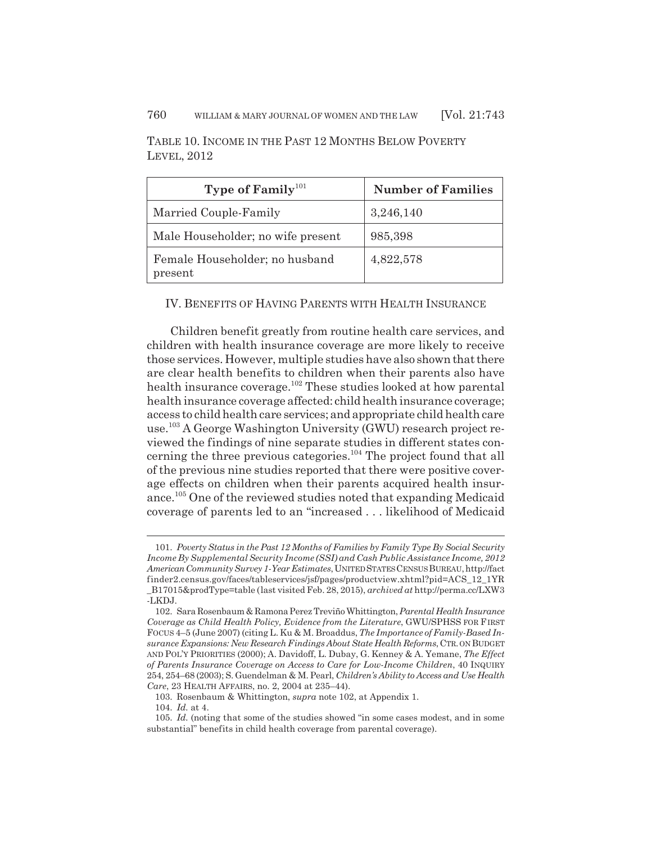| Type of Family <sup>101</sup>             | <b>Number of Families</b> |
|-------------------------------------------|---------------------------|
| Married Couple-Family                     | 3,246,140                 |
| Male Householder; no wife present         | 985,398                   |
| Female Householder; no husband<br>present | 4,822,578                 |

TABLE 10. INCOME IN THE PAST 12 MONTHS BELOW POVERTY LEVEL, 2012

## IV. BENEFITS OF HAVING PARENTS WITH HEALTH INSURANCE

Children benefit greatly from routine health care services, and children with health insurance coverage are more likely to receive those services. However, multiple studies have also shown that there are clear health benefits to children when their parents also have health insurance coverage.<sup>102</sup> These studies looked at how parental health insurance coverage affected: child health insurance coverage; access to child health care services; and appropriate child health care use.103 A George Washington University (GWU) research project reviewed the findings of nine separate studies in different states concerning the three previous categories.104 The project found that all of the previous nine studies reported that there were positive coverage effects on children when their parents acquired health insurance.105 One of the reviewed studies noted that expanding Medicaid coverage of parents led to an "increased . . . likelihood of Medicaid

<sup>101.</sup> *Poverty Status in the Past 12 Months of Families by Family Type By Social Security Income By Supplemental Security Income (SSI) and Cash Public Assistance Income, 2012 American Community Survey 1-Year Estimates*, UNITED STATES CENSUS BUREAU, http://fact finder2.census.gov/faces/tableservices/jsf/pages/productview.xhtml?pid=ACS\_12\_1YR \_B17015&prodType=table (last visited Feb. 28, 2015), *archived at* http://perma.cc/LXW3 -LKDJ.

<sup>102.</sup> Sara Rosenbaum & Ramona Perez Treviño Whittington, *Parental Health Insurance Coverage as Child Health Policy, Evidence from the Literature*, GWU/SPHSS FOR FIRST FOCUS 4–5 (June 2007) (citing L. Ku & M. Broaddus, *The Importance of Family-Based Insurance Expansions: New Research Findings About State Health Reforms*, CTR. ON BUDGET AND POL'Y PRIORITIES (2000); A. Davidoff, L. Dubay, G. Kenney & A. Yemane, *The Effect of Parents Insurance Coverage on Access to Care for Low-Income Children*, 40 INQUIRY 254, 254–68 (2003); S. Guendelman & M. Pearl, *Children's Ability to Access and Use Health Care*, 23 HEALTH AFFAIRS, no. 2, 2004 at 235–44).

<sup>103.</sup> Rosenbaum & Whittington, *supra* note 102, at Appendix 1.

<sup>104.</sup> *Id.* at 4.

<sup>105.</sup> *Id.* (noting that some of the studies showed "in some cases modest, and in some substantial" benefits in child health coverage from parental coverage).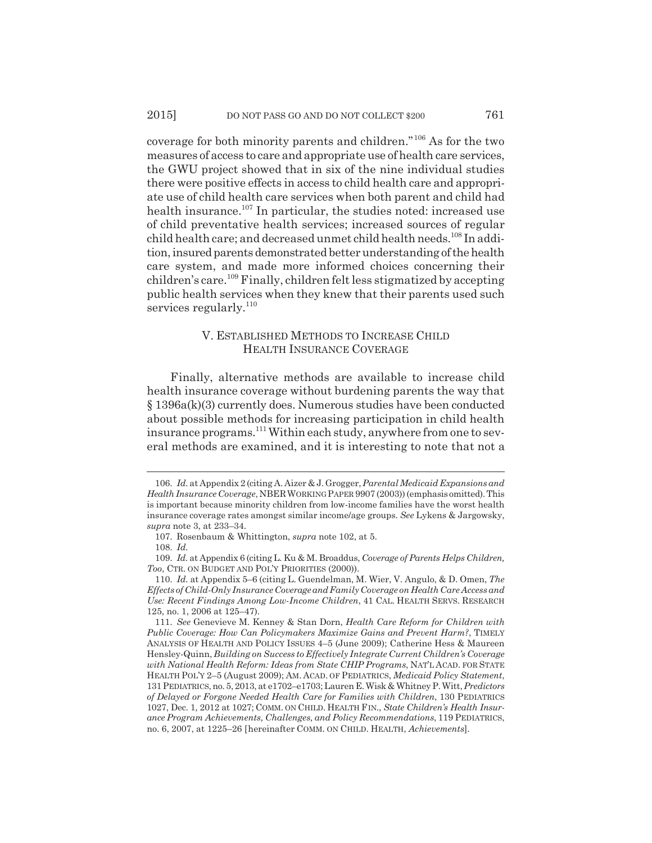coverage for both minority parents and children."106 As for the two measures of access to care and appropriate use of health care services, the GWU project showed that in six of the nine individual studies there were positive effects in access to child health care and appropriate use of child health care services when both parent and child had health insurance.<sup>107</sup> In particular, the studies noted: increased use of child preventative health services; increased sources of regular child health care; and decreased unmet child health needs.<sup>108</sup> In addition, insured parents demonstrated better understanding of the health care system, and made more informed choices concerning their children's care.109 Finally, children felt less stigmatized by accepting public health services when they knew that their parents used such services regularly.<sup>110</sup>

## V. ESTABLISHED METHODS TO INCREASE CHILD HEALTH INSURANCE COVERAGE

Finally, alternative methods are available to increase child health insurance coverage without burdening parents the way that § 1396a(k)(3) currently does. Numerous studies have been conducted about possible methods for increasing participation in child health insurance programs.<sup>111</sup> Within each study, anywhere from one to several methods are examined, and it is interesting to note that not a

<sup>106.</sup> *Id.* at Appendix 2 (citing A. Aizer & J. Grogger, *Parental Medicaid Expansions and Health Insurance Coverage*, NBERWORKING PAPER 9907 (2003)) (emphasis omitted). This is important because minority children from low-income families have the worst health insurance coverage rates amongst similar income/age groups. *See* Lykens & Jargowsky, *supra* note 3, at 233–34.

<sup>107.</sup> Rosenbaum & Whittington, *supra* note 102, at 5.

<sup>108.</sup> *Id.*

<sup>109.</sup> *Id.* at Appendix 6 (citing L. Ku & M. Broaddus, *Coverage of Parents Helps Children, Too*, CTR. ON BUDGET AND POL'Y PRIORITIES (2000)).

<sup>110.</sup> *Id.* at Appendix 5–6 (citing L. Guendelman, M. Wier, V. Angulo, & D. Omen, *The Effects of Child-Only Insurance Coverage and Family Coverage on Health Care Access and Use: Recent Findings Among Low-Income Children*, 41 CAL. HEALTH SERVS. RESEARCH 125, no. 1, 2006 at 125–47).

<sup>111.</sup> *See* Genevieve M. Kenney & Stan Dorn, *Health Care Reform for Children with Public Coverage: How Can Policymakers Maximize Gains and Prevent Harm?*, TIMELY ANALYSIS OF HEALTH AND POLICY ISSUES 4–5 (June 2009); Catherine Hess & Maureen Hensley-Quinn, *Building on Success to Effectively Integrate Current Children's Coverage with National Health Reform: Ideas from State CHIP Programs*, NAT'L ACAD. FOR STATE HEALTH POL'Y 2–5 (August 2009); AM. ACAD. OF PEDIATRICS, *Medicaid Policy Statement*, 131 PEDIATRICS, no. 5, 2013, at e1702–e1703; Lauren E. Wisk & Whitney P. Witt, *Predictors of Delayed or Forgone Needed Health Care for Families with Children*, 130 PEDIATRICS 1027, Dec. 1, 2012 at 1027; COMM. ON CHILD. HEALTH FIN., *State Children's Health Insurance Program Achievements, Challenges, and Policy Recommendations*, 119 PEDIATRICS, no. 6, 2007, at 1225–26 [hereinafter COMM. ON CHILD. HEALTH, *Achievements*].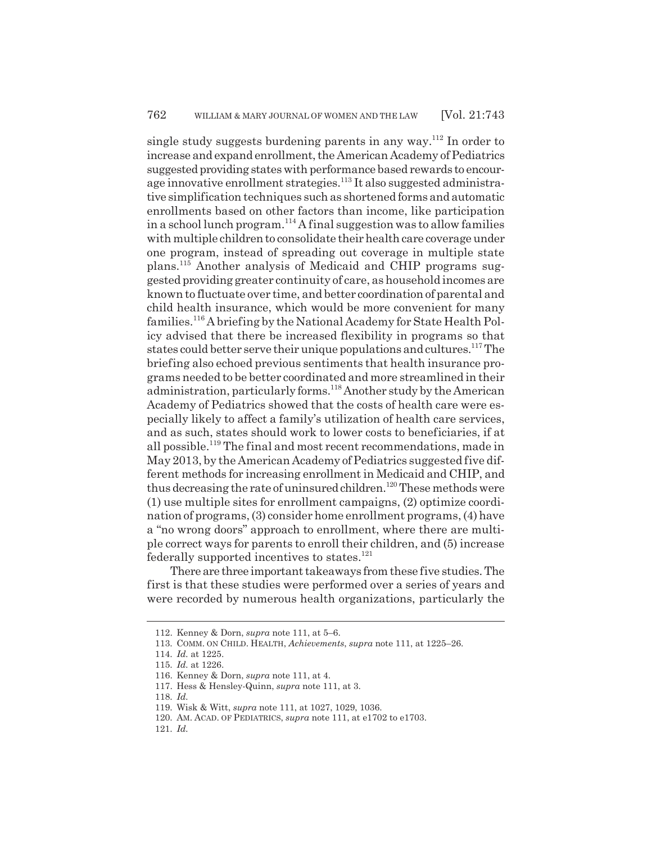single study suggests burdening parents in any way.<sup>112</sup> In order to increase and expand enrollment, the American Academy of Pediatrics suggested providing states with performance based rewards to encourage innovative enrollment strategies.<sup>113</sup> It also suggested administrative simplification techniques such as shortened forms and automatic enrollments based on other factors than income, like participation in a school lunch program.<sup>114</sup> A final suggestion was to allow families with multiple children to consolidate their health care coverage under one program, instead of spreading out coverage in multiple state plans.115 Another analysis of Medicaid and CHIP programs suggested providing greater continuity of care, as household incomes are known to fluctuate over time, and better coordination of parental and child health insurance, which would be more convenient for many families.116 A briefing by the National Academy for State Health Policy advised that there be increased flexibility in programs so that states could better serve their unique populations and cultures.117 The briefing also echoed previous sentiments that health insurance programs needed to be better coordinated and more streamlined in their administration, particularly forms.118 Another study by the American Academy of Pediatrics showed that the costs of health care were especially likely to affect a family's utilization of health care services, and as such, states should work to lower costs to beneficiaries, if at all possible.<sup>119</sup> The final and most recent recommendations, made in May 2013, by the American Academy of Pediatrics suggested five different methods for increasing enrollment in Medicaid and CHIP, and thus decreasing the rate of uninsured children.<sup>120</sup> These methods were (1) use multiple sites for enrollment campaigns, (2) optimize coordination of programs, (3) consider home enrollment programs, (4) have a "no wrong doors" approach to enrollment, where there are multiple correct ways for parents to enroll their children, and (5) increase federally supported incentives to states. $121$ 

There are three important takeaways from these five studies. The first is that these studies were performed over a series of years and were recorded by numerous health organizations, particularly the

121. *Id.*

<sup>112.</sup> Kenney & Dorn, *supra* note 111, at 5–6.

<sup>113.</sup> COMM. ON CHILD. HEALTH, *Achievements*, *supra* note 111, at 1225–26.

<sup>114.</sup> *Id.* at 1225.

<sup>115.</sup> *Id.* at 1226.

<sup>116.</sup> Kenney & Dorn, *supra* note 111, at 4.

<sup>117.</sup> Hess & Hensley-Quinn, *supra* note 111, at 3.

<sup>118.</sup> *Id.*

<sup>119.</sup> Wisk & Witt, *supra* note 111, at 1027, 1029, 1036.

<sup>120.</sup> AM. ACAD. OF PEDIATRICS, *supra* note 111, at e1702 to e1703.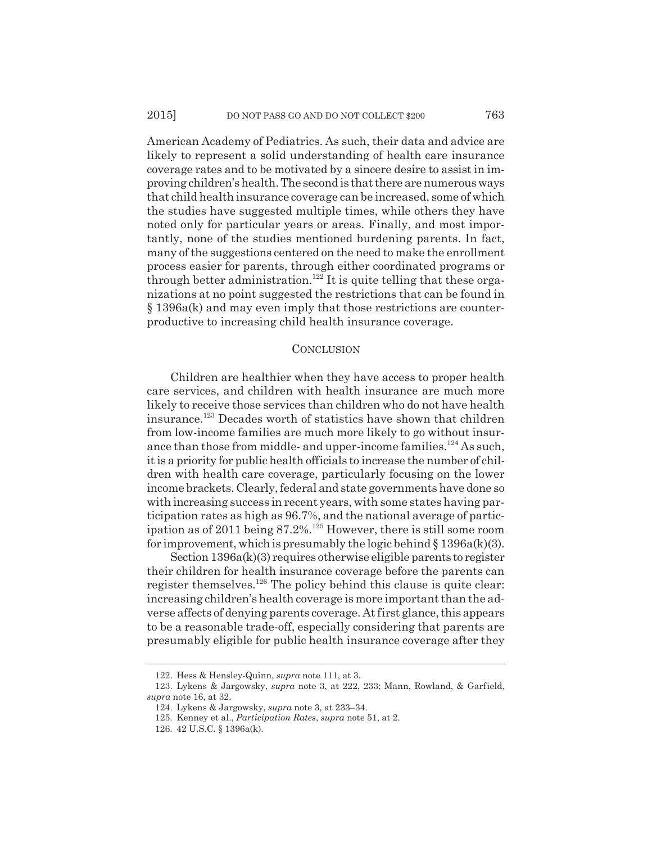American Academy of Pediatrics. As such, their data and advice are likely to represent a solid understanding of health care insurance coverage rates and to be motivated by a sincere desire to assist in improving children's health. The second is that there are numerous ways that child health insurance coverage can be increased, some of which the studies have suggested multiple times, while others they have noted only for particular years or areas. Finally, and most importantly, none of the studies mentioned burdening parents. In fact, many of the suggestions centered on the need to make the enrollment process easier for parents, through either coordinated programs or through better administration.<sup>122</sup> It is quite telling that these organizations at no point suggested the restrictions that can be found in § 1396a(k) and may even imply that those restrictions are counterproductive to increasing child health insurance coverage.

#### **CONCLUSION**

Children are healthier when they have access to proper health care services, and children with health insurance are much more likely to receive those services than children who do not have health insurance.123 Decades worth of statistics have shown that children from low-income families are much more likely to go without insurance than those from middle- and upper-income families.<sup>124</sup> As such, it is a priority for public health officials to increase the number of children with health care coverage, particularly focusing on the lower income brackets. Clearly, federal and state governments have done so with increasing success in recent years, with some states having participation rates as high as 96.7%, and the national average of participation as of 2011 being 87.2%.125 However, there is still some room for improvement, which is presumably the logic behind  $\S 1396a(k)(3)$ .

Section 1396a(k)(3) requires otherwise eligible parents to register their children for health insurance coverage before the parents can register themselves.<sup>126</sup> The policy behind this clause is quite clear: increasing children's health coverage is more important than the adverse affects of denying parents coverage. At first glance, this appears to be a reasonable trade-off, especially considering that parents are presumably eligible for public health insurance coverage after they

<sup>122.</sup> Hess & Hensley-Quinn, *supra* note 111, at 3.

<sup>123.</sup> Lykens & Jargowsky, *supra* note 3, at 222, 233; Mann, Rowland, & Garfield, *supra* note 16, at 32.

<sup>124.</sup> Lykens & Jargowsky, *supra* note 3, at 233–34.

<sup>125.</sup> Kenney et al., *Participation Rates*, *supra* note 51, at 2.

<sup>126. 42</sup> U.S.C. § 1396a(k).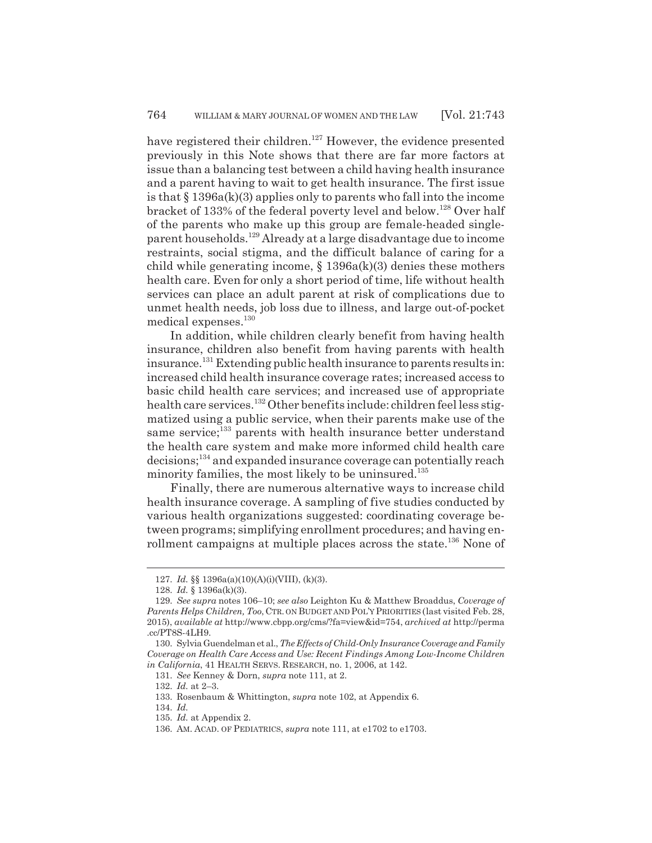have registered their children.<sup>127</sup> However, the evidence presented previously in this Note shows that there are far more factors at issue than a balancing test between a child having health insurance and a parent having to wait to get health insurance. The first issue is that  $\S 1396a(k)(3)$  applies only to parents who fall into the income bracket of 133% of the federal poverty level and below.<sup>128</sup> Over half of the parents who make up this group are female-headed singleparent households.129 Already at a large disadvantage due to income restraints, social stigma, and the difficult balance of caring for a child while generating income,  $\S 1396a(k)(3)$  denies these mothers health care. Even for only a short period of time, life without health services can place an adult parent at risk of complications due to unmet health needs, job loss due to illness, and large out-of-pocket medical expenses.<sup>130</sup>

In addition, while children clearly benefit from having health insurance, children also benefit from having parents with health insurance.<sup>131</sup> Extending public health insurance to parents results in: increased child health insurance coverage rates; increased access to basic child health care services; and increased use of appropriate health care services.<sup>132</sup> Other benefits include: children feel less stigmatized using a public service, when their parents make use of the same service;<sup>133</sup> parents with health insurance better understand the health care system and make more informed child health care decisions;134 and expanded insurance coverage can potentially reach minority families, the most likely to be uninsured.<sup>135</sup>

Finally, there are numerous alternative ways to increase child health insurance coverage. A sampling of five studies conducted by various health organizations suggested: coordinating coverage between programs; simplifying enrollment procedures; and having enrollment campaigns at multiple places across the state.<sup>136</sup> None of

<sup>127.</sup> *Id.* §§ 1396a(a)(10)(A)(i)(VIII), (k)(3).

<sup>128.</sup> *Id.* § 1396a(k)(3).

<sup>129.</sup> *See supra* notes 106–10; *see also* Leighton Ku & Matthew Broaddus, *Coverage of Parents Helps Children, Too*, CTR. ON BUDGET AND POL'Y PRIORITIES (last visited Feb. 28, 2015), *available at* http://www.cbpp.org/cms/?fa=view&id=754, *archived at* http://perma .cc/PT8S-4LH9.

<sup>130.</sup> Sylvia Guendelman et al., *The Effects of Child-Only Insurance Coverage and Family Coverage on Health Care Access and Use: Recent Findings Among Low-Income Children in California*, 41 HEALTH SERVS. RESEARCH, no. 1, 2006, at 142.

<sup>131.</sup> *See* Kenney & Dorn, *supra* note 111, at 2.

<sup>132.</sup> *Id.* at 2–3.

<sup>133.</sup> Rosenbaum & Whittington, *supra* note 102, at Appendix 6.

<sup>134.</sup> *Id.*

<sup>135.</sup> *Id.* at Appendix 2.

<sup>136.</sup> AM. ACAD. OF PEDIATRICS, *supra* note 111, at e1702 to e1703.